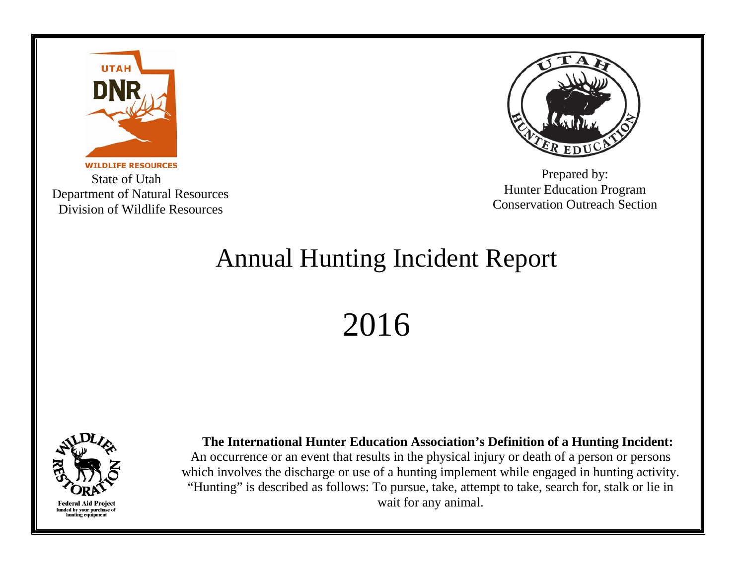

**WILDLIFE RESOURCES**  State of Utah Department of Natural Resources Division of Wildlife Resources



Prepared by: Hunter Education Program Conservation Outreach Section

## Annual Hunting Incident Report

2016



 **The International Hunter Education Association's Definition of a Hunting Incident:** An occurrence or an event that results in the physical injury or death of a person or persons which involves the discharge or use of a hunting implement while engaged in hunting activity. "Hunting" is described as follows: To pursue, take, attempt to take, search for, stalk or lie in wait for any animal.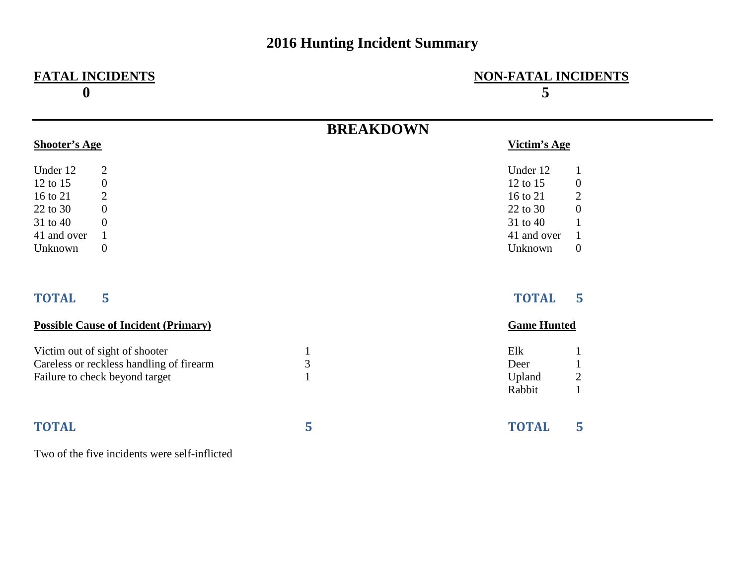## **2016 Hunting Incident Summary**

## **0 5**

## **FATAL INCIDENTS NON-FATAL INCIDENTS**

|                      |                                               | <b>BREAKDOWN</b> |                    |                  |
|----------------------|-----------------------------------------------|------------------|--------------------|------------------|
| <b>Shooter's Age</b> |                                               |                  | Victim's Age       |                  |
| Under 12             | $\overline{2}$                                |                  | Under 12           | 1                |
| 12 to 15             | $\boldsymbol{0}$                              |                  | 12 to 15           | $\boldsymbol{0}$ |
| 16 to 21             | $\overline{2}$                                |                  | 16 to 21           | $\overline{2}$   |
| 22 to 30             | $\boldsymbol{0}$                              |                  | 22 to 30           | $\boldsymbol{0}$ |
| 31 to 40             | $\overline{0}$                                |                  | 31 to 40           | $\mathbf{1}$     |
| 41 and over          | $\mathbf{1}$                                  |                  | 41 and over        | $\mathbf{1}$     |
| Unknown              | $\boldsymbol{0}$                              |                  | Unknown            | $\overline{0}$   |
| <b>TOTAL</b>         | 5                                             |                  | <b>TOTAL</b>       | 5                |
|                      | <b>Possible Cause of Incident (Primary)</b>   |                  | <b>Game Hunted</b> |                  |
|                      | Victim out of sight of shooter                | $\mathbf{1}$     | Elk                | 1                |
|                      | Careless or reckless handling of firearm      | 3                | Deer               | $\mathbf{1}$     |
|                      | Failure to check beyond target                | $\mathbf{1}$     | Upland             | $\overline{2}$   |
|                      |                                               |                  | Rabbit             | $\mathbf{1}$     |
|                      |                                               |                  |                    |                  |
| <b>TOTAL</b>         |                                               | 5                | <b>TOTAL</b>       | 5                |
|                      | Two of the five incidents were self-inflicted |                  |                    |                  |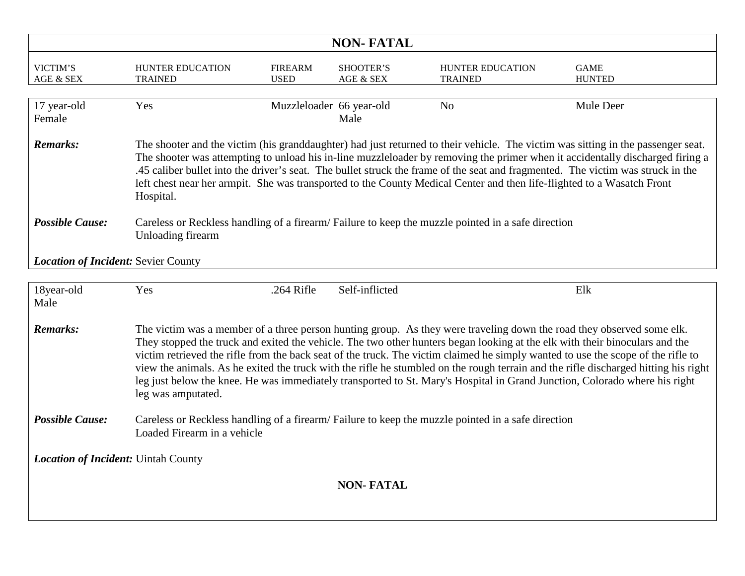| <b>NON-FATAL</b>                                                                                                                                                                                                                                                                                                                                                                                                                                                                                                                                                                                                                                                                                       |                                                                                                                                  |                               |                        |                                    |                              |  |  |
|--------------------------------------------------------------------------------------------------------------------------------------------------------------------------------------------------------------------------------------------------------------------------------------------------------------------------------------------------------------------------------------------------------------------------------------------------------------------------------------------------------------------------------------------------------------------------------------------------------------------------------------------------------------------------------------------------------|----------------------------------------------------------------------------------------------------------------------------------|-------------------------------|------------------------|------------------------------------|------------------------------|--|--|
| VICTIM'S<br>AGE & SEX                                                                                                                                                                                                                                                                                                                                                                                                                                                                                                                                                                                                                                                                                  | HUNTER EDUCATION<br><b>TRAINED</b>                                                                                               | <b>FIREARM</b><br><b>USED</b> | SHOOTER'S<br>AGE & SEX | HUNTER EDUCATION<br><b>TRAINED</b> | <b>GAME</b><br><b>HUNTED</b> |  |  |
| 17 year-old<br>Female                                                                                                                                                                                                                                                                                                                                                                                                                                                                                                                                                                                                                                                                                  | Yes                                                                                                                              | Muzzleloader 66 year-old      | Male                   | N <sub>o</sub>                     | Mule Deer                    |  |  |
| <b>Remarks:</b><br>The shooter and the victim (his granddaughter) had just returned to their vehicle. The victim was sitting in the passenger seat.<br>The shooter was attempting to unload his in-line muzzleloader by removing the primer when it accidentally discharged firing a<br>.45 caliber bullet into the driver's seat. The bullet struck the frame of the seat and fragmented. The victim was struck in the<br>left chest near her armpit. She was transported to the County Medical Center and then life-flighted to a Wasatch Front<br>Hospital.                                                                                                                                         |                                                                                                                                  |                               |                        |                                    |                              |  |  |
| <b>Possible Cause:</b>                                                                                                                                                                                                                                                                                                                                                                                                                                                                                                                                                                                                                                                                                 | Careless or Reckless handling of a firearm/Failure to keep the muzzle pointed in a safe direction<br>Unloading firearm           |                               |                        |                                    |                              |  |  |
| Location of Incident: Sevier County                                                                                                                                                                                                                                                                                                                                                                                                                                                                                                                                                                                                                                                                    |                                                                                                                                  |                               |                        |                                    |                              |  |  |
| 18year-old<br>Male                                                                                                                                                                                                                                                                                                                                                                                                                                                                                                                                                                                                                                                                                     | Yes                                                                                                                              | $.264$ Rifle                  | Self-inflicted         |                                    | Elk                          |  |  |
| <b>Remarks:</b><br>The victim was a member of a three person hunting group. As they were traveling down the road they observed some elk.<br>They stopped the truck and exited the vehicle. The two other hunters began looking at the elk with their binoculars and the<br>victim retrieved the rifle from the back seat of the truck. The victim claimed he simply wanted to use the scope of the rifle to<br>view the animals. As he exited the truck with the rifle he stumbled on the rough terrain and the rifle discharged hitting his right<br>leg just below the knee. He was immediately transported to St. Mary's Hospital in Grand Junction, Colorado where his right<br>leg was amputated. |                                                                                                                                  |                               |                        |                                    |                              |  |  |
| <b>Possible Cause:</b>                                                                                                                                                                                                                                                                                                                                                                                                                                                                                                                                                                                                                                                                                 | Careless or Reckless handling of a firearm/Failure to keep the muzzle pointed in a safe direction<br>Loaded Firearm in a vehicle |                               |                        |                                    |                              |  |  |
| <b>Location of Incident: Uintah County</b>                                                                                                                                                                                                                                                                                                                                                                                                                                                                                                                                                                                                                                                             |                                                                                                                                  |                               |                        |                                    |                              |  |  |
| <b>NON-FATAL</b>                                                                                                                                                                                                                                                                                                                                                                                                                                                                                                                                                                                                                                                                                       |                                                                                                                                  |                               |                        |                                    |                              |  |  |
|                                                                                                                                                                                                                                                                                                                                                                                                                                                                                                                                                                                                                                                                                                        |                                                                                                                                  |                               |                        |                                    |                              |  |  |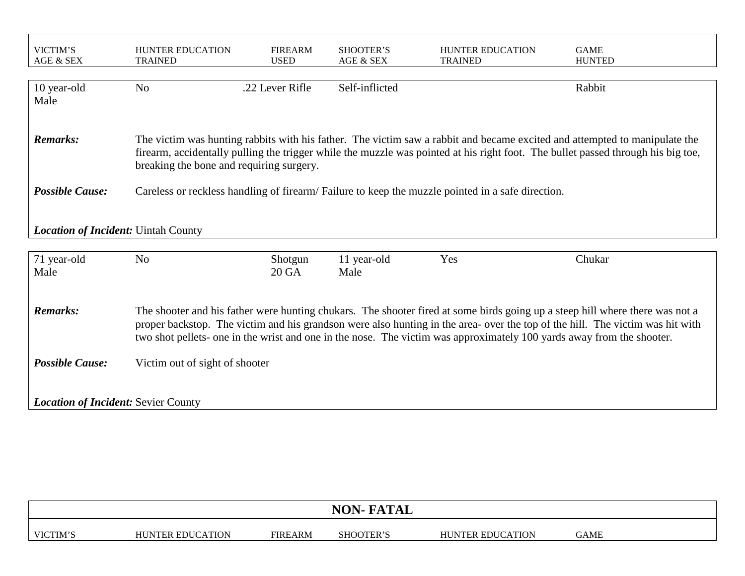| VICTIM'S<br>AGE & SEX                      | HUNTER EDUCATION<br><b>TRAINED</b>                                                                                                                                                                                                                                                                                                                                                     | <b>FIREARM</b><br><b>USED</b> | SHOOTER'S<br>AGE & SEX | <b>HUNTER EDUCATION</b><br><b>TRAINED</b> | <b>GAME</b><br><b>HUNTED</b> |  |  |  |
|--------------------------------------------|----------------------------------------------------------------------------------------------------------------------------------------------------------------------------------------------------------------------------------------------------------------------------------------------------------------------------------------------------------------------------------------|-------------------------------|------------------------|-------------------------------------------|------------------------------|--|--|--|
| 10 year-old<br>Male                        | N <sub>o</sub>                                                                                                                                                                                                                                                                                                                                                                         | .22 Lever Rifle               | Self-inflicted         |                                           | Rabbit                       |  |  |  |
| <b>Remarks:</b>                            | The victim was hunting rabbits with his father. The victim saw a rabbit and became excited and attempted to manipulate the<br>firearm, accidentally pulling the trigger while the muzzle was pointed at his right foot. The bullet passed through his big toe,<br>breaking the bone and requiring surgery.                                                                             |                               |                        |                                           |                              |  |  |  |
| <b>Possible Cause:</b>                     | Careless or reckless handling of firearm/Failure to keep the muzzle pointed in a safe direction.                                                                                                                                                                                                                                                                                       |                               |                        |                                           |                              |  |  |  |
| <b>Location of Incident: Uintah County</b> |                                                                                                                                                                                                                                                                                                                                                                                        |                               |                        |                                           |                              |  |  |  |
| 71 year-old<br>Male                        | N <sub>o</sub>                                                                                                                                                                                                                                                                                                                                                                         | Shotgun<br>20 GA              | 11 year-old<br>Male    | Yes                                       | Chukar                       |  |  |  |
| <b>Remarks:</b>                            | The shooter and his father were hunting chukars. The shooter fired at some birds going up a steep hill where there was not a<br>proper backstop. The victim and his grandson were also hunting in the area- over the top of the hill. The victim was hit with<br>two shot pellets- one in the wrist and one in the nose. The victim was approximately 100 yards away from the shooter. |                               |                        |                                           |                              |  |  |  |
| <b>Possible Cause:</b>                     | Victim out of sight of shooter                                                                                                                                                                                                                                                                                                                                                         |                               |                        |                                           |                              |  |  |  |
| <b>Location of Incident: Sevier County</b> |                                                                                                                                                                                                                                                                                                                                                                                        |                               |                        |                                           |                              |  |  |  |

|          |                         |                | <b>NON-FATAL</b> |                         |      |  |
|----------|-------------------------|----------------|------------------|-------------------------|------|--|
| VICTIM'S | <b>HUNTER EDUCATION</b> | <b>FIREARM</b> | SHOOTER'S        | <b>HUNTER EDUCATION</b> | GAME |  |